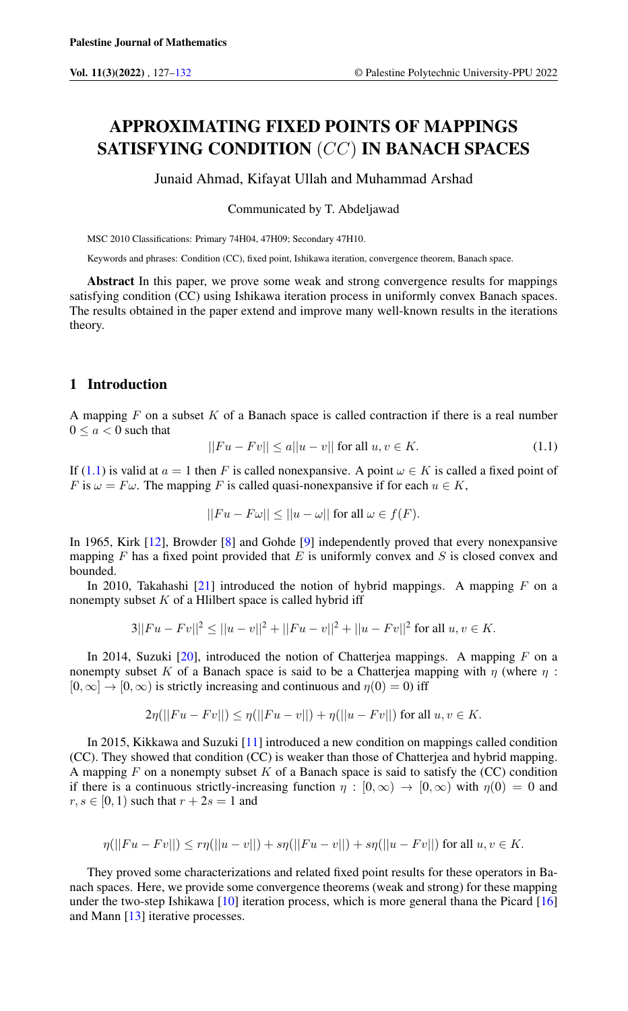# APPROXIMATING FIXED POINTS OF MAPPINGS SATISFYING CONDITION (CC) IN BANACH SPACES

Junaid Ahmad, Kifayat Ullah and Muhammad Arshad

Communicated by T. Abdeljawad

MSC 2010 Classifications: Primary 74H04, 47H09; Secondary 47H10.

Keywords and phrases: Condition (CC), fixed point, Ishikawa iteration, convergence theorem, Banach space.

Abstract In this paper, we prove some weak and strong convergence results for mappings satisfying condition (CC) using Ishikawa iteration process in uniformly convex Banach spaces. The results obtained in the paper extend and improve many well-known results in the iterations theory.

# 1 Introduction

A mapping  $F$  on a subset  $K$  of a Banach space is called contraction if there is a real number  $0 \leq a < 0$  such that

<span id="page-0-0"></span>
$$
||Fu - Fv|| \le a||u - v|| \text{ for all } u, v \in K. \tag{1.1}
$$

If [\(1.1\)](#page-0-0) is valid at  $a = 1$  then F is called nonexpansive. A point  $\omega \in K$  is called a fixed point of F is  $\omega = F\omega$ . The mapping F is called quasi-nonexpansive if for each  $u \in K$ ,

$$
||Fu - F\omega|| \le ||u - \omega|| \text{ for all } \omega \in f(F).
$$

In 1965, Kirk [\[12\]](#page-4-1), Browder [\[8\]](#page-4-2) and Gohde [\[9\]](#page-4-3) independently proved that every nonexpansive mapping  $F$  has a fixed point provided that  $E$  is uniformly convex and  $S$  is closed convex and bounded.

In 2010, Takahashi [\[21\]](#page-5-0) introduced the notion of hybrid mappings. A mapping  $F$  on a nonempty subset  $K$  of a Hlilbert space is called hybrid iff

$$
3||Fu - Fv||2 \le ||u - v||2 + ||Fu - v||2 + ||u - Fv||2 \text{ for all } u, v \in K.
$$

In 2014, Suzuki  $[20]$ , introduced the notion of Chatterjea mappings. A mapping F on a nonempty subset K of a Banach space is said to be a Chatterjea mapping with  $\eta$  (where  $\eta$ :  $[0, \infty] \rightarrow [0, \infty)$  is strictly increasing and continuous and  $\eta(0) = 0$ ) iff

$$
2\eta(||Fu - Fv||) \leq \eta(||Fu - v||) + \eta(||u - Fv||)
$$
 for all  $u, v \in K$ .

In 2015, Kikkawa and Suzuki [\[11\]](#page-4-4) introduced a new condition on mappings called condition (CC). They showed that condition (CC) is weaker than those of Chatterjea and hybrid mapping. A mapping  $F$  on a nonempty subset  $K$  of a Banach space is said to satisfy the (CC) condition if there is a continuous strictly-increasing function  $\eta : [0, \infty) \to [0, \infty)$  with  $\eta(0) = 0$  and  $r, s \in [0, 1)$  such that  $r + 2s = 1$  and

$$
\eta(||Fu - Fv||) \le r\eta(||u - v||) + s\eta(||Fu - v||) + s\eta(||u - Fv||)
$$
 for all  $u, v \in K$ .

They proved some characterizations and related fixed point results for these operators in Banach spaces. Here, we provide some convergence theorems (weak and strong) for these mapping under the two-step Ishikawa [\[10\]](#page-4-5) iteration process, which is more general thana the Picard [\[16\]](#page-4-6) and Mann [\[13\]](#page-4-7) iterative processes.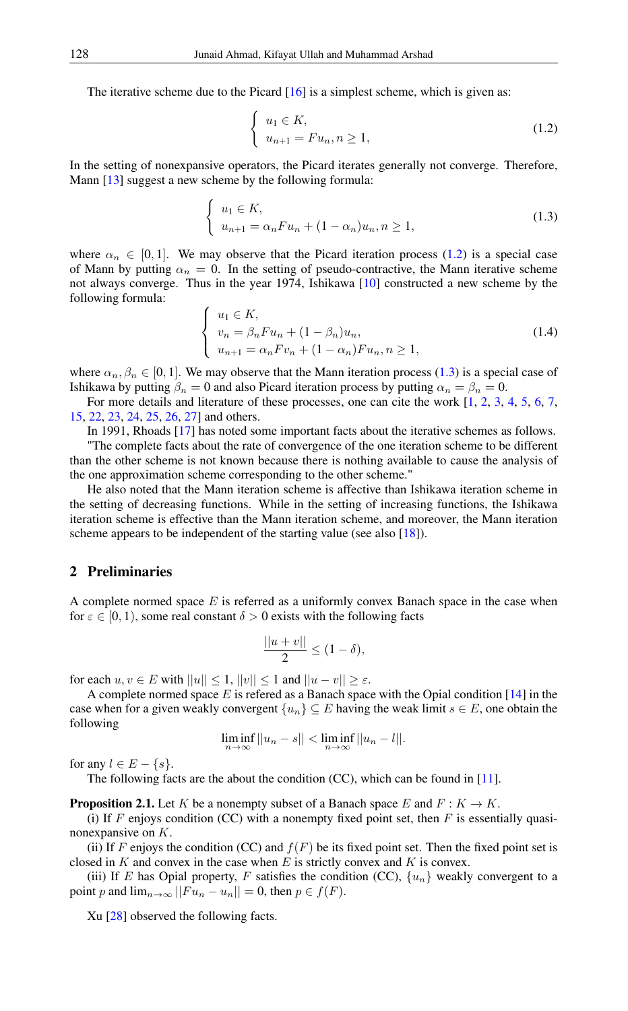The iterative scheme due to the Picard [\[16\]](#page-4-6) is a simplest scheme, which is given as:

<span id="page-1-1"></span><span id="page-1-0"></span>
$$
\begin{cases} u_1 \in K, \\ u_{n+1} = Fu_n, n \ge 1, \end{cases}
$$
\n(1.2)

In the setting of nonexpansive operators, the Picard iterates generally not converge. Therefore, Mann [\[13\]](#page-4-7) suggest a new scheme by the following formula:

$$
\begin{cases} u_1 \in K, \\ u_{n+1} = \alpha_n F u_n + (1 - \alpha_n) u_n, n \ge 1, \end{cases}
$$
\n(1.3)

where  $\alpha_n \in [0, 1]$ . We may observe that the Picard iteration process [\(1.2\)](#page-1-0) is a special case of Mann by putting  $\alpha_n = 0$ . In the setting of pseudo-contractive, the Mann iterative scheme not always converge. Thus in the year 1974, Ishikawa [\[10\]](#page-4-5) constructed a new scheme by the following formula:

<span id="page-1-2"></span>
$$
\begin{cases}\nu_1 \in K, \\
v_n = \beta_n F u_n + (1 - \beta_n) u_n, \\
u_{n+1} = \alpha_n F v_n + (1 - \alpha_n) F u_n, n \ge 1,\n\end{cases}
$$
\n(1.4)

where  $\alpha_n, \beta_n \in [0, 1]$ . We may observe that the Mann iteration process [\(1.3\)](#page-1-1) is a special case of Ishikawa by putting  $\beta_n = 0$  and also Picard iteration process by putting  $\alpha_n = \beta_n = 0$ .

For more details and literature of these processes, one can cite the work [\[1,](#page-4-8) [2,](#page-4-9) [3,](#page-4-10) [4,](#page-4-11) [5,](#page-4-12) [6,](#page-4-13) [7,](#page-4-14) [15,](#page-4-15) [22,](#page-5-2) [23,](#page-5-3) [24,](#page-5-4) [25,](#page-5-5) [26,](#page-5-6) [27\]](#page-5-7) and others.

In 1991, Rhoads [\[17\]](#page-4-16) has noted some important facts about the iterative schemes as follows.

"The complete facts about the rate of convergence of the one iteration scheme to be different than the other scheme is not known because there is nothing available to cause the analysis of the one approximation scheme corresponding to the other scheme."

He also noted that the Mann iteration scheme is affective than Ishikawa iteration scheme in the setting of decreasing functions. While in the setting of increasing functions, the Ishikawa iteration scheme is effective than the Mann iteration scheme, and moreover, the Mann iteration scheme appears to be independent of the starting value (see also [\[18\]](#page-5-8)).

#### 2 Preliminaries

A complete normed space  $E$  is referred as a uniformly convex Banach space in the case when for  $\varepsilon \in [0, 1)$ , some real constant  $\delta > 0$  exists with the following facts

$$
\frac{||u+v||}{2} \le (1-\delta),
$$

for each  $u, v \in E$  with  $||u|| \leq 1$ ,  $||v|| \leq 1$  and  $||u - v|| \geq \varepsilon$ .

A complete normed space  $E$  is refered as a Banach space with the Opial condition [\[14\]](#page-4-17) in the case when for a given weakly convergent  $\{u_n\} \subseteq E$  having the weak limit  $s \in E$ , one obtain the following

$$
\liminf_{n\to\infty}||u_n-s||<\liminf_{n\to\infty}||u_n-l||.
$$

for any  $l \in E - \{s\}.$ 

The following facts are the about the condition (CC), which can be found in [\[11\]](#page-4-4).

<span id="page-1-3"></span>**Proposition 2.1.** Let K be a nonempty subset of a Banach space E and  $F : K \to K$ .

(i) If F enjoys condition (CC) with a nonempty fixed point set, then F is essentially quasinonexpansive on K.

(ii) If F enjoys the condition (CC) and  $f(F)$  be its fixed point set. Then the fixed point set is closed in  $K$  and convex in the case when  $E$  is strictly convex and  $K$  is convex.

(iii) If E has Opial property, F satisfies the condition (CC),  $\{u_n\}$  weakly convergent to a point p and  $\lim_{n\to\infty}$   $||Fu_n - u_n|| = 0$ , then  $p \in f(F)$ .

Xu [\[28\]](#page-5-9) observed the following facts.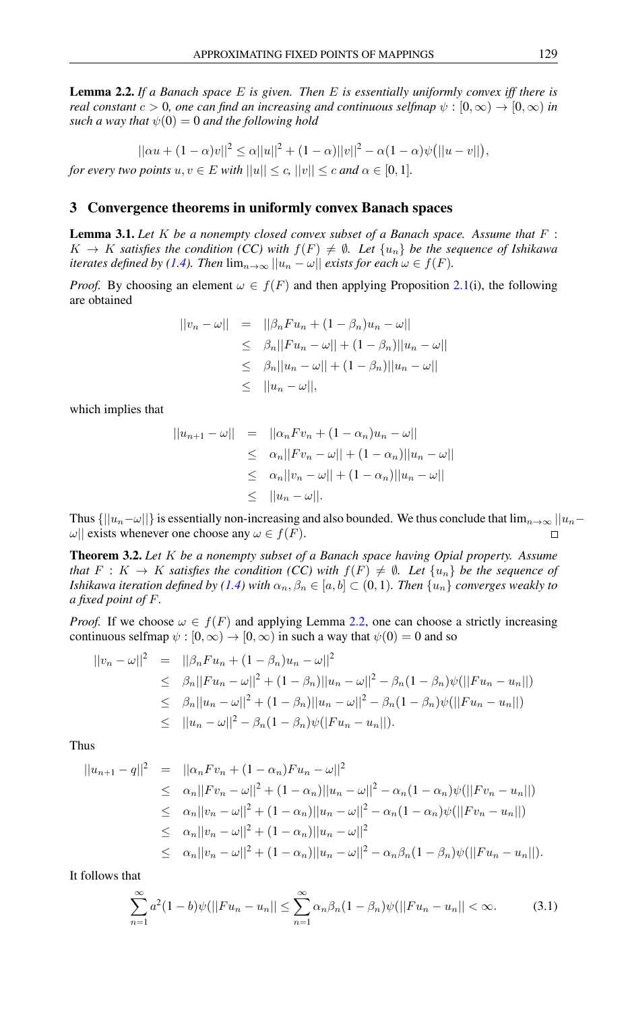<span id="page-2-0"></span>Lemma 2.2. *If a Banach space* E *is given. Then* E *is essentially uniformly convex iff there is real constant*  $c > 0$ , one can find an increasing and continuous selfmap  $\psi : [0, \infty) \to [0, \infty)$  in *such a way that*  $\psi(0) = 0$  *and the following hold* 

$$
||\alpha u + (1 - \alpha)v||^2 \le \alpha ||u||^2 + (1 - \alpha)||v||^2 - \alpha(1 - \alpha)\psi(||u - v||),
$$

*for every two points*  $u, v \in E$  *with*  $||u|| \le c$ ,  $||v|| \le c$  *and*  $\alpha \in [0, 1]$ *.* 

# 3 Convergence theorems in uniformly convex Banach spaces

<span id="page-2-1"></span>Lemma 3.1. *Let* K *be a nonempty closed convex subset of a Banach space. Assume that* F :  $K \to K$  *satisfies the condition (CC) with*  $f(F) \neq \emptyset$ . Let  $\{u_n\}$  be the sequence of Ishikawa *iterates defined by [\(1.4\)](#page-1-2). Then*  $\lim_{n\to\infty} ||u_n - \omega||$  *exists for each*  $\omega \in f(F)$ *.* 

*Proof.* By choosing an element  $\omega \in f(F)$  and then applying Proposition [2.1\(](#page-1-3)i), the following are obtained

$$
||v_n - \omega|| = ||\beta_n F u_n + (1 - \beta_n) u_n - \omega||
$$
  
\n
$$
\leq \beta_n ||Fu_n - \omega|| + (1 - \beta_n) ||u_n - \omega||
$$
  
\n
$$
\leq \beta_n ||u_n - \omega|| + (1 - \beta_n) ||u_n - \omega||
$$
  
\n
$$
\leq ||u_n - \omega||,
$$

which implies that

$$
||u_{n+1} - \omega|| = ||\alpha_n F v_n + (1 - \alpha_n) u_n - \omega||
$$
  
\n
$$
\leq \alpha_n ||F v_n - \omega|| + (1 - \alpha_n) ||u_n - \omega||
$$
  
\n
$$
\leq \alpha_n ||v_n - \omega|| + (1 - \alpha_n) ||u_n - \omega||
$$
  
\n
$$
\leq ||u_n - \omega||.
$$

Thus  $\{|u_n-\omega\|$  is essentially non-increasing and also bounded. We thus conclude that  $\lim_{n\to\infty} |u_n-\omega|$  $\omega$ || exists whenever one choose any  $\omega \in f(F)$ .

Theorem 3.2. *Let* K *be a nonempty subset of a Banach space having Opial property. Assume that*  $F: K \to K$  *satisfies the condition (CC) with*  $f(F) \neq \emptyset$ *. Let*  $\{u_n\}$  *be the sequence of Ishikawa iteration defined by [\(1.4\)](#page-1-2)* with  $\alpha_n, \beta_n \in [a, b] \subset (0, 1)$ *. Then*  $\{u_n\}$  *converges weakly to a fixed point of* F*.*

*Proof.* If we choose  $\omega \in f(F)$  and applying Lemma [2.2,](#page-2-0) one can choose a strictly increasing continuous selfmap  $\psi : [0, \infty) \to [0, \infty)$  in such a way that  $\psi(0) = 0$  and so

$$
\begin{array}{rcl}\n||v_n - \omega||^2 & = & ||\beta_n F u_n + (1 - \beta_n) u_n - \omega||^2 \\
& \leq & \beta_n ||Fu_n - \omega||^2 + (1 - \beta_n) ||u_n - \omega||^2 - \beta_n (1 - \beta_n) \psi(||Fu_n - u_n||) \\
& \leq & \beta_n ||u_n - \omega||^2 + (1 - \beta_n) ||u_n - \omega||^2 - \beta_n (1 - \beta_n) \psi(||Fu_n - u_n||) \\
& \leq & ||u_n - \omega||^2 - \beta_n (1 - \beta_n) \psi(|Fu_n - u_n||).\n\end{array}
$$

Thus

$$
||u_{n+1} - q||^2 = ||\alpha_n F v_n + (1 - \alpha_n) F u_n - \omega||^2
$$
  
\n
$$
\leq \alpha_n ||F v_n - \omega||^2 + (1 - \alpha_n) ||u_n - \omega||^2 - \alpha_n (1 - \alpha_n) \psi(||F v_n - u_n||)
$$
  
\n
$$
\leq \alpha_n ||v_n - \omega||^2 + (1 - \alpha_n) ||u_n - \omega||^2 - \alpha_n (1 - \alpha_n) \psi(||F v_n - u_n||)
$$
  
\n
$$
\leq \alpha_n ||v_n - \omega||^2 + (1 - \alpha_n) ||u_n - \omega||^2
$$
  
\n
$$
\leq \alpha_n ||v_n - \omega||^2 + (1 - \alpha_n) ||u_n - \omega||^2 - \alpha_n \beta_n (1 - \beta_n) \psi(||F u_n - u_n||).
$$

It follows that

$$
\sum_{n=1}^{\infty} a^2 (1-b)\psi(||Fu_n - u_n|| \le \sum_{n=1}^{\infty} \alpha_n \beta_n (1-\beta_n)\psi(||Fu_n - u_n|| < \infty. \tag{3.1}
$$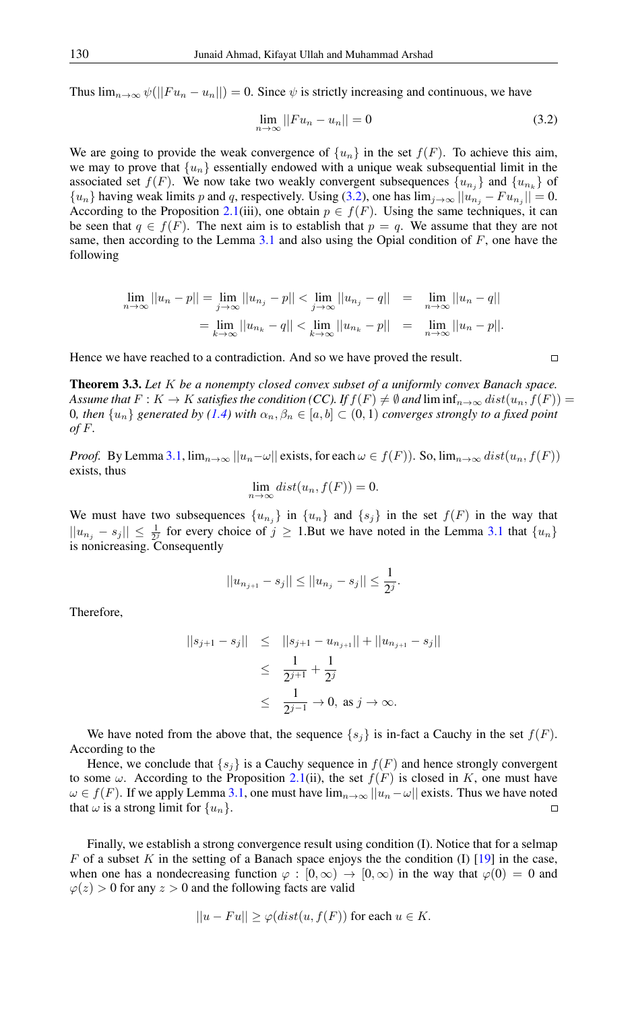Thus  $\lim_{n\to\infty}\psi(||Fu_n-u_n||)=0$ . Since  $\psi$  is strictly increasing and continuous, we have

$$
\lim_{n \to \infty} ||Fu_n - u_n|| = 0 \tag{3.2}
$$

We are going to provide the weak convergence of  $\{u_n\}$  in the set  $f(F)$ . To achieve this aim, we may to prove that  $\{u_n\}$  essentially endowed with a unique weak subsequential limit in the associated set  $f(F)$ . We now take two weakly convergent subsequences  $\{u_{n_j}\}\$  and  $\{u_{n_k}\}\$  of  ${u_n}$  having weak limits p and q, respectively. Using [\(3.2\)](#page-3-0), one has  $\lim_{j\to\infty} ||u_{n_j} - Fu_{n_j}|| = 0$ . According to the Proposition [2.1\(](#page-1-3)iii), one obtain  $p \in f(F)$ . Using the same techniques, it can be seen that  $q \in f(F)$ . The next aim is to establish that  $p = q$ . We assume that they are not same, then according to the Lemma  $3.1$  and also using the Opial condition of  $F$ , one have the following

$$
\lim_{n \to \infty} ||u_n - p|| = \lim_{j \to \infty} ||u_{n_j} - p|| < \lim_{j \to \infty} ||u_{n_j} - q|| = \lim_{n \to \infty} ||u_n - q||
$$
  
= 
$$
\lim_{k \to \infty} ||u_{n_k} - q|| < \lim_{k \to \infty} ||u_{n_k} - p|| = \lim_{n \to \infty} ||u_n - p||.
$$

Hence we have reached to a contradiction. And so we have proved the result.

<span id="page-3-1"></span>Theorem 3.3. *Let* K *be a nonempty closed convex subset of a uniformly convex Banach space. Assume that*  $F: K \to K$  *satisfies the condition (CC).* If  $f(F) \neq \emptyset$  and lim inf $f_{n\to\infty}$  dist $(u_n, f(F)) =$ 0*, then*  $\{u_n\}$  *generated by* [\(1.4\)](#page-1-2) *with*  $\alpha_n, \beta_n \in [a, b] \subset (0, 1)$  *converges strongly to a fixed point of* F*.*

*Proof.* By Lemma [3.1,](#page-2-1)  $\lim_{n\to\infty} ||u_n-\omega||$  exists, for each  $\omega \in f(F)$ ). So,  $\lim_{n\to\infty} dist(u_n, f(F))$ exists, thus

$$
\lim_{n \to \infty} dist(u_n, f(F)) = 0.
$$

We must have two subsequences  $\{u_{n_j}\}$  in  $\{u_n\}$  and  $\{s_j\}$  in the set  $f(F)$  in the way that  $||u_{n_j} - s_j|| \le \frac{1}{2^j}$  for every choice of  $j \ge 1$ . But we have noted in the Lemma [3.1](#page-2-1) that  $\{u_n\}$ is nonicreasing. Consequently

$$
||u_{n_{j+1}} - s_j|| \le ||u_{n_j} - s_j|| \le \frac{1}{2^j}.
$$

Therefore,

$$
||s_{j+1} - s_j|| \le ||s_{j+1} - u_{n_{j+1}}|| + ||u_{n_{j+1}} - s_j||
$$
  
\n
$$
\le \frac{1}{2^{j+1}} + \frac{1}{2^j}
$$
  
\n
$$
\le \frac{1}{2^{j-1}} \to 0, \text{ as } j \to \infty.
$$

We have noted from the above that, the sequence  $\{s_i\}$  is in-fact a Cauchy in the set  $f(F)$ . According to the

Hence, we conclude that  $\{s_i\}$  is a Cauchy sequence in  $f(F)$  and hence strongly convergent to some  $\omega$ . According to the Proposition [2.1\(](#page-1-3)ii), the set  $f(F)$  is closed in K, one must have  $\omega \in f(F)$ . If we apply Lemma [3.1,](#page-2-1) one must have  $\lim_{n\to\infty} ||u_n-\omega||$  exists. Thus we have noted that  $\omega$  is a strong limit for  $\{u_n\}$ .  $\Box$ 

Finally, we establish a strong convergence result using condition (I). Notice that for a selmap F of a subset K in the setting of a Banach space enjoys the the condition  $(I)$  [\[19\]](#page-5-10) in the case, when one has a nondecreasing function  $\varphi : [0,\infty) \to [0,\infty)$  in the way that  $\varphi(0) = 0$  and  $\varphi(z) > 0$  for any  $z > 0$  and the following facts are valid

$$
||u - Fu|| \ge \varphi(dist(u, f(F)) \text{ for each } u \in K.
$$

<span id="page-3-0"></span> $\Box$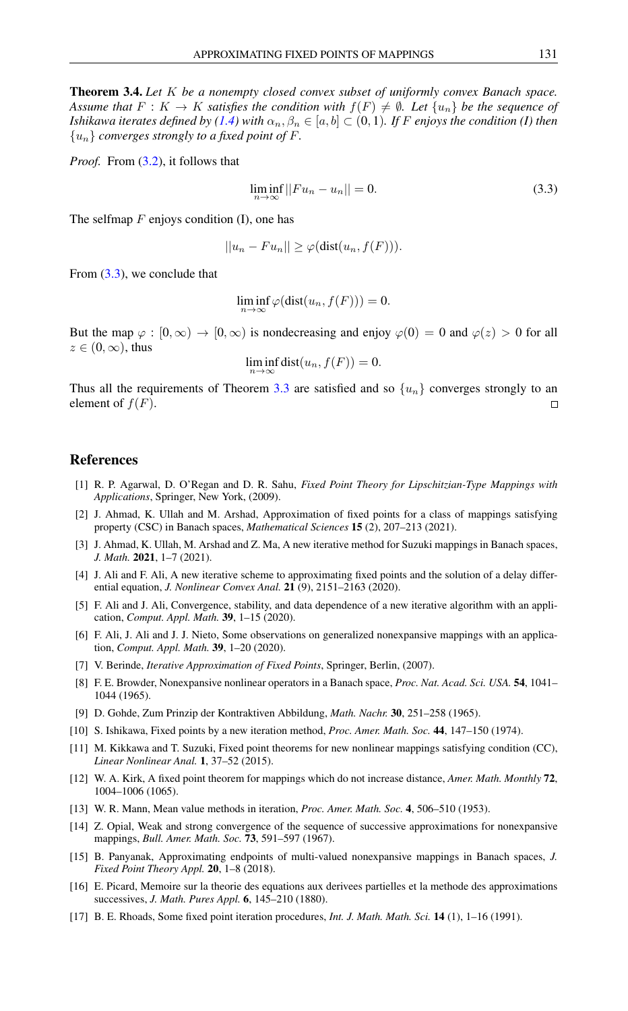Theorem 3.4. *Let* K *be a nonempty closed convex subset of uniformly convex Banach space. Assume that*  $F: K \to K$  *satisfies the condition with*  $f(F) \neq \emptyset$ *. Let*  $\{u_n\}$  *be the sequence of Ishikawa iterates defined by [\(1.4\)](#page-1-2)* with  $\alpha_n, \beta_n \in [a, b] \subset (0, 1)$ *. If F enjoys the condition (I) then* {un} *converges strongly to a fixed point of* F*.*

*Proof.* From  $(3.2)$ , it follows that

<span id="page-4-18"></span>
$$
\liminf_{n \to \infty} ||Fu_n - u_n|| = 0. \tag{3.3}
$$

The selfmap  $F$  enjoys condition (I), one has

$$
||u_n - Fu_n|| \geq \varphi(\text{dist}(u_n, f(F))).
$$

From [\(3.3\)](#page-4-18), we conclude that

$$
\liminf_{n\to\infty}\varphi(\text{dist}(u_n,f(F)))=0.
$$

But the map  $\varphi : [0, \infty) \to [0, \infty)$  is nondecreasing and enjoy  $\varphi(0) = 0$  and  $\varphi(z) > 0$  for all  $z \in (0, \infty)$ , thus

$$
\liminf_{n \to \infty} \text{dist}(u_n, f(F)) = 0.
$$

Thus all the requirements of Theorem [3.3](#page-3-1) are satisfied and so  $\{u_n\}$  converges strongly to an element of  $f(F)$ .  $\Box$ 

### <span id="page-4-0"></span>References

- <span id="page-4-8"></span>[1] R. P. Agarwal, D. O'Regan and D. R. Sahu, *Fixed Point Theory for Lipschitzian-Type Mappings with Applications*, Springer, New York, (2009).
- <span id="page-4-9"></span>[2] J. Ahmad, K. Ullah and M. Arshad, Approximation of fixed points for a class of mappings satisfying property (CSC) in Banach spaces, *Mathematical Sciences* 15 (2), 207–213 (2021).
- <span id="page-4-10"></span>[3] J. Ahmad, K. Ullah, M. Arshad and Z. Ma, A new iterative method for Suzuki mappings in Banach spaces, *J. Math.* 2021, 1–7 (2021).
- <span id="page-4-11"></span>[4] J. Ali and F. Ali, A new iterative scheme to approximating fixed points and the solution of a delay differential equation, *J. Nonlinear Convex Anal.* 21 (9), 2151–2163 (2020).
- <span id="page-4-12"></span>[5] F. Ali and J. Ali, Convergence, stability, and data dependence of a new iterative algorithm with an application, *Comput. Appl. Math.* 39, 1–15 (2020).
- <span id="page-4-13"></span>[6] F. Ali, J. Ali and J. J. Nieto, Some observations on generalized nonexpansive mappings with an application, *Comput. Appl. Math.* 39, 1–20 (2020).
- <span id="page-4-14"></span>[7] V. Berinde, *Iterative Approximation of Fixed Points*, Springer, Berlin, (2007).
- <span id="page-4-2"></span>[8] F. E. Browder, Nonexpansive nonlinear operators in a Banach space, *Proc. Nat. Acad. Sci. USA.* 54, 1041– 1044 (1965).
- <span id="page-4-3"></span>[9] D. Gohde, Zum Prinzip der Kontraktiven Abbildung, *Math. Nachr.* 30, 251–258 (1965).
- <span id="page-4-5"></span>[10] S. Ishikawa, Fixed points by a new iteration method, *Proc. Amer. Math. Soc.* 44, 147–150 (1974).
- <span id="page-4-4"></span>[11] M. Kikkawa and T. Suzuki, Fixed point theorems for new nonlinear mappings satisfying condition (CC), *Linear Nonlinear Anal.* 1, 37–52 (2015).
- <span id="page-4-1"></span>[12] W. A. Kirk, A fixed point theorem for mappings which do not increase distance, *Amer. Math. Monthly* 72, 1004–1006 (1065).
- <span id="page-4-7"></span>[13] W. R. Mann, Mean value methods in iteration, *Proc. Amer. Math. Soc.* 4, 506–510 (1953).
- <span id="page-4-17"></span>[14] Z. Opial, Weak and strong convergence of the sequence of successive approximations for nonexpansive mappings, *Bull. Amer. Math. Soc.* 73, 591–597 (1967).
- <span id="page-4-15"></span>[15] B. Panyanak, Approximating endpoints of multi-valued nonexpansive mappings in Banach spaces, *J. Fixed Point Theory Appl.* 20, 1–8 (2018).
- <span id="page-4-6"></span>[16] E. Picard, Memoire sur la theorie des equations aux derivees partielles et la methode des approximations successives, *J. Math. Pures Appl.* 6, 145–210 (1880).
- <span id="page-4-16"></span>[17] B. E. Rhoads, Some fixed point iteration procedures, *Int. J. Math. Math. Sci.* 14 (1), 1–16 (1991).